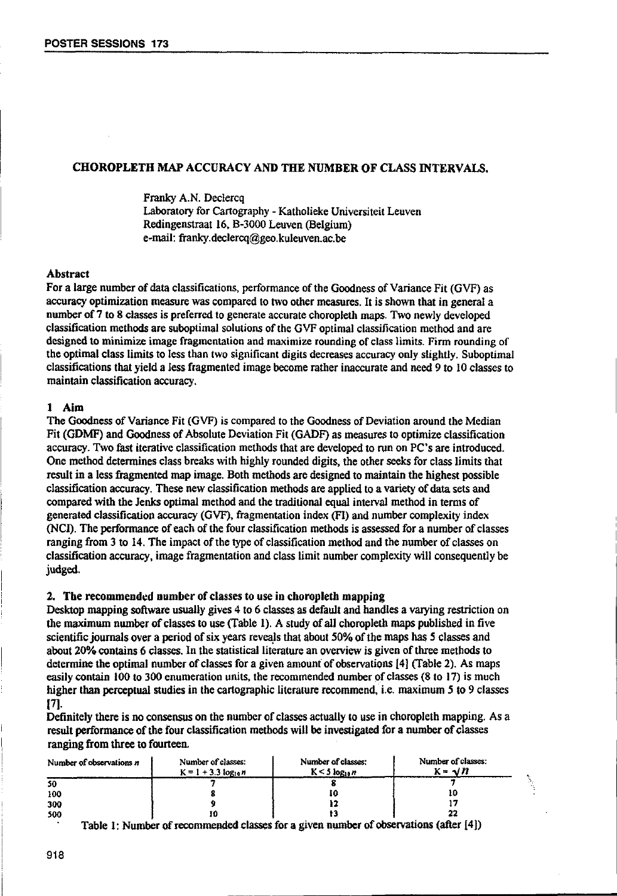# CHOROPLETH MAP ACCURACY AND THE NUMBER OF CLASS INTERVALS.

Franky A.N. Declercq Laboratory for Cartography - Katholieke Universiteit Leuven Redingenstraat 16, B-3000 Leuven (Belgium) e-mail: franky.declercq@geo.kuleuven.ac.be

## Abstract

For a large number of data classifications, performance of the Goodness of Variance Fit (GVF) as accuracy optimization measure was compared to two other measures. It is shown that in general a number of 7 to 8 classes is preferred to generate accurate choropleth maps. Two newly developed classification methods are suboptimal solutions of the GVF optimal classification method and are designed to minimize image fragmentation and maximize rounding of class limits. Firm rounding of the optimal class limits to less than two significant digits decreases accuracy only slightly. Suboptimal classifications that yield a less fragmented image become rather inaccurate and need 9 to 10 classes to maintain classification accuracy.

### 1 Aim

The Goodness of Variance Fit (GVF) is compared to the Goodness of Deviation around the Median Fit (GDMF) and Goodness of Absolute Deviation Fit (GAOF) as measures to optimize classification accuracy. Two fast iterative classification methods that are developed to run on PC's are introduced. One method determines class breaks with highly rounded digits, the other seeks for class limits that result in a less fragmented map image. Both methods are designed to maintain the highest possible classification accuracy. These new classification methods are applied to a variety of data sets and compared with the Jenks optimal method and the traditional equal interval method in terms of generated classification accuracy (GVF), fragmentation index <PI) and number complexity index (NCI). The performance of each of the four classification methods is assessed for a number of classes ranging from 3 to 14. The impact of the type of classification method and the number of classes on classification accuracy, image fragmentation and class limit number complexity will consequently be judged.

## 2. The recommended number of classes to use in choropleth mapping

Desktop mapping software usually gives 4 to 6 classes as default and handles a varying restriction on the maximum nmnber of classes to use (Table 1). A study of all choropleth maps published in five scientific journals over a period of six years reveals that about 50% of the maps has 5 classes and about 20% contains 6 classes. In the statistical literature an overview is given of three methods to determine the optimal number of classes for a given amount of observations (4) (Table 2). As maps easily contain 100 to 300 enumeration units, the recommended number of classes (8 to 17) is much higher than perceptual studies in the cartographic literature recommend, i.e. maximum 5 to 9 classes 17]·

Definitely there is no consensus on the number of classes actually to use in choropleth mapping. As a ranging from three to fourteen.

|                                                | result performance of the four classification methods will be investigated for a number of classes<br>ranging from three to fourteen. |                                                                                                               |  |  |  |  |  |  |  |  |
|------------------------------------------------|---------------------------------------------------------------------------------------------------------------------------------------|---------------------------------------------------------------------------------------------------------------|--|--|--|--|--|--|--|--|
| Number of classes:<br>$K = 1 + 3.3 log_{10} n$ | Number of classes:<br>$K < 5 log_{10} n$                                                                                              | Number of classes:<br>$K = \sqrt{n}$                                                                          |  |  |  |  |  |  |  |  |
|                                                |                                                                                                                                       |                                                                                                               |  |  |  |  |  |  |  |  |
|                                                | 10                                                                                                                                    | 10                                                                                                            |  |  |  |  |  |  |  |  |
|                                                |                                                                                                                                       |                                                                                                               |  |  |  |  |  |  |  |  |
| 10                                             | t3                                                                                                                                    |                                                                                                               |  |  |  |  |  |  |  |  |
|                                                |                                                                                                                                       | 1950 - 1961 - 1972 - 1980 - 1980 - 1980 - 1980 - 1980 - 1980 - 1980 - 1980 - 1980 - 1980 - 1980 - 1980 - 1980 |  |  |  |  |  |  |  |  |

Table I: Number of recommended classes for a given number of observations (after (4»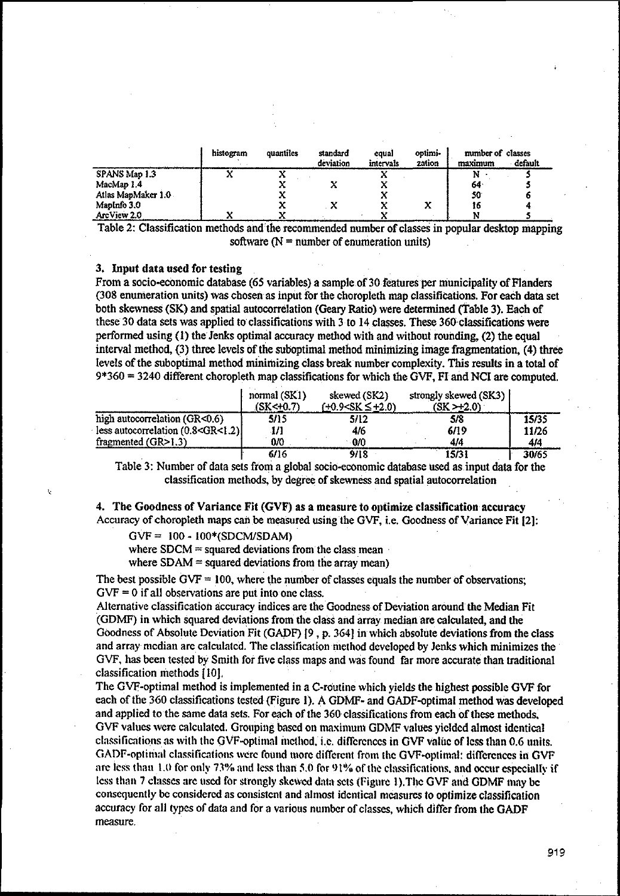|                    | histogram<br>quantiles |  | standard<br>equal<br>deviation<br>intervals |  | optimi-<br>zation | number of classes<br>maximum | default |
|--------------------|------------------------|--|---------------------------------------------|--|-------------------|------------------------------|---------|
| SPANS Map 1.3      |                        |  |                                             |  |                   | N                            |         |
| MacMap 1.4         |                        |  |                                             |  |                   | 64                           |         |
| Atlas MapMaker 1.0 |                        |  |                                             |  |                   | 50                           |         |
| MapInfo 3.0        |                        |  |                                             |  | x                 | 16                           |         |
| ArcView 2.0        |                        |  |                                             |  |                   |                              |         |

Table 2: Classification methods and the recommended number of classes in popular desktop mapping software  $(N =$  number of enumeration units)

## 3. Input data used for testing

From a socio-economic database (65 variables) a sample of 30 features per municipality of Flanders (308 enumeration units) was chosen as input for the choropleth map classifications. For each data set both skewness (SK) and spatial autocorrelation (Geary Ratio) were detennined (Table 3). Each of these 30 data sets was applied to classifications with 3 to 14 classes. These 360 classifications were performed using (1) the Jenks optimal accuracy method with and without rounding, (2) the equal interval method, (3) three levels of the suboptimal method minimizing image fragmentation, (4) three levels of the suboptimal method minimizing class break number complexity. This results in a total of 9\*360 = 3240 different choropleth map classifications for which the GVF, FI and NCI are computed.

|                                                                                                          | normal (SK1)<br>$(SK<+0.7)$ | skewed (SK2)<br>(+0.9 <sk +2.0)<="" th="" ≤=""><th>strongly skewed (SK3)<br/>(SK &gt; 2.0)</th><th></th></sk> | strongly skewed (SK3)<br>(SK > 2.0) |       |
|----------------------------------------------------------------------------------------------------------|-----------------------------|---------------------------------------------------------------------------------------------------------------|-------------------------------------|-------|
| high autocorrelation (GR<0.6)                                                                            | 5/15                        | 5/12                                                                                                          | 5/8                                 | 15/35 |
| less autocorrelation (0.8 <gr<1.2)< td=""><td>1/1</td><td>4/6</td><td>6/19</td><td>11/26</td></gr<1.2)<> | 1/1                         | 4/6                                                                                                           | 6/19                                | 11/26 |
| fragmented $(GR>1.3)$                                                                                    | 0/0                         | $\cdot$ 0/0                                                                                                   | 414                                 | 4/4   |
|                                                                                                          | 6/16                        | 9/18                                                                                                          | 15/31                               | 30/65 |

6116 9118 15131 30/65 Table 3: Number of data sets from a global socio-economic database used as.input data for the classification methods, by degree of skewness and spatial autocorrelation

4. The Goodness of Variance Fit (GVF) as a measure to optimize classification accuracy Accuracy of choropleth maps can be measured using the GVF, i.e. Goodness of Variance Fit 12):

 $GVF = 100 - 100*(SDCM/SDAM)$ 

where  $SDCM =$  squared deviations from the class mean

where  $SDAM =$  squared deviations from the array mean)

The best possible  $GVF = 100$ , where the number of classes equals the number of observations;  $GVF = 0$  if all observations are put into one class.

Alternative classification accuracy indices are the Goodness of Deviation around the Median Fit (GDMF) in which squared deviations from the class and array median are calculated, and the Goodness of Absolute Deviation Fit (GADF) [9 , p. 364) in which absolute deviations from the class and array median arc calculated. The classification method developed by Jenks which minimizes the GVF, has been tested by Smith for five class maps and was found far more accurate than traditional classification methods IIOJ.

The GVF-optimal method is implemented in a C-routine which yields the highest possible GVF for each ofthe 360 classifications tested (Figure I). A GDMF· and GADF-optimal method was developed and applied to the same data sets. For each of the 360 classifications from each of these methods, GVF values were calculated. Grouping based on maximum GDMF values yielded almost identical classifications as with the GVF-optimal incthod, i.e. differences in GVF value of less than 0.6 units. GADF-optimal classifications were found more different from the GVF-optimal: differences in GVF are less than 1.0 for only 73% and less than 5.0 for 91% of the classifications, and occur especially if less than 7 classes are used for strongly skewed data sets (Figure 1). The GVF and GDMF may be consequently be considered as consistent and almost identical mcasures to optimize classification accuracy for all types of data and for a various number of classes, which differ from the GADF measure.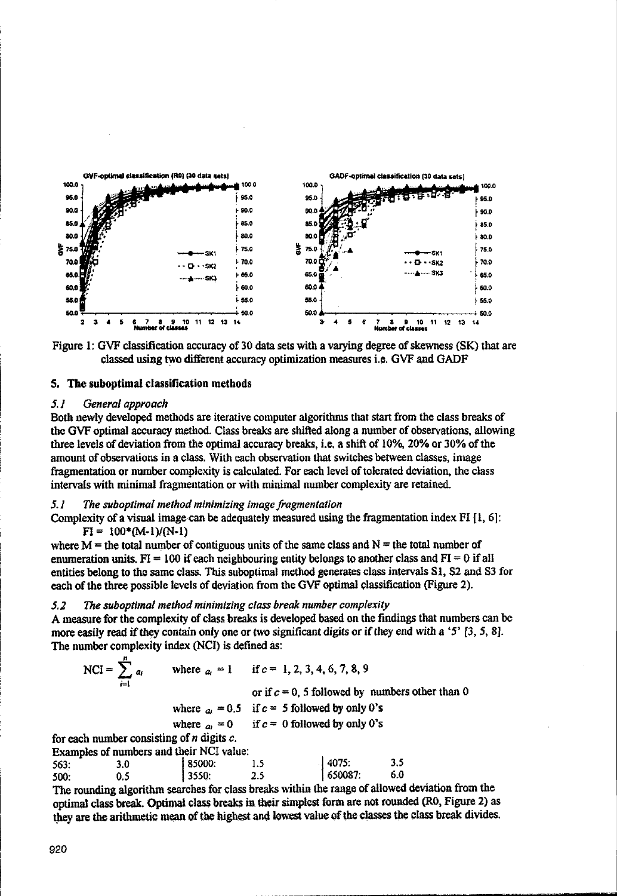



### 5. The subootimal classification methods

#### 51 General approach

Both newly developed methods are iterative computer algorithms that start from the class breaks of the GVF optimal accuracy method. Class breaks are shifted along a number of observations, allowing three levels of deviation from the optimal accuracy breaks, i.e. a shift of 10%, 20% or 30% of the amount of observations in a class. With each observation that switches between classes, image fragmentation or number complexity is calculated. For each level of tolerated deviation, the class intervals with minimal fragmentation or with minimal number complexity are retained.

#### The suboptimal method minimizing image fragmentation 5.1

Complexity of a visual image can be adequately measured using the fragmentation index  $FI [1, 6]$ :  $FI = 100*(M-1)/(N-1)$ 

where  $M =$  the total number of contiguous units of the same class and  $N =$  the total number of enumeration units,  $FI = 100$  if each neighbouring entity belongs to another class and  $FI = 0$  if all entities belong to the same class. This suboptimal method generates class intervals S1, S2 and S3 for each of the three possible levels of deviation from the GVF optimal classification (Figure 2).

#### $5.2$ The suboptimal method minimizing class break number complexity

A measure for the complexity of class breaks is developed based on the findings that numbers can be more easily read if they contain only one or two significant digits or if they end with a '5'  $[3, 5, 8]$ . The number complexity index (NCI) is defined as:

where  $a_i = 1$  if  $c = 1, 2, 3, 4, 6, 7, 8, 9$ NCI =  $\sum_{i=1}^{n} a_i$ or if  $c = 0$ , 5 followed by numbers other than 0 where  $a_1 = 0.5$  if  $c = 5$  followed by only 0's where  $a_0 = 0$ if  $c = 0$  followed by only 0's for each number consisting of  $n$  digits  $c$ . Examples of numbers and their NCI value:

4075:  $3.5$ 563:  $3.0$ 85000:  $1.5$  $0.5$ 3550:  $2.5$ 650087: 6.0 500:

The rounding algorithm searches for class breaks within the range of allowed deviation from the optimal class break. Optimal class breaks in their simplest form are not rounded (R0, Figure 2) as they are the arithmetic mean of the highest and lowest value of the classes the class break divides.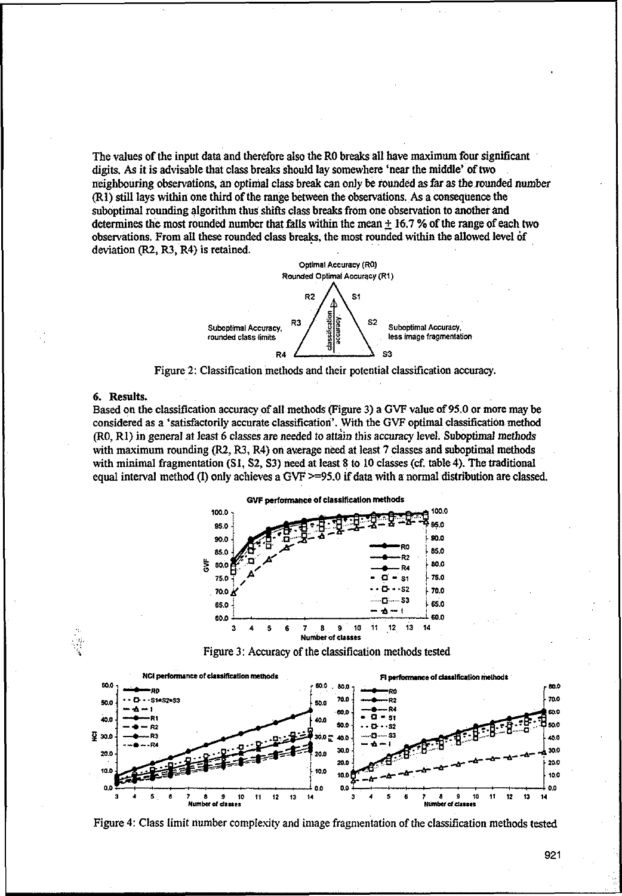The values of the input data and therefore also the RO breaks all have maximum four significant digits. As it is advisable that class breaks should lay somewhere 'near the middle' of two neighbouring observations, an optimal class break can only be rounded as far as the rounded number (RI) stiUlays within one third of the range between the observations. As a consequence the suboptimal rounding algorithm thus shifts class breaks from one observation to another and determines the most rounded number that falls within the mean  $\pm$  16.7 % of the range of each two observations. From all these rounded class breaks, the most rounded within the allowed level of deviation (R2, R3, R4) is retained.



Figure 2: Classification methods and their potential classification accuracy.

### 6. Results.

Based on the classification accuracy of all methods (Figure 3) a GVF value of 95.0 or more may be considered as a 'satisfactorily accurate classification'. With the GVF optimal classification method (RO, RI) in general at least 6 classes are needed to attain this accuracy level. Suboptimal methods with maximum rounding  $(R2, R3, R4)$  on average need at least 7 classes and suboptimal methods with minimal fragmentation (SI, S2, S3) need at least 8 to 10 classes (cf. table 4). The traditional equal interval method (I) only achieves a GVF  $\geq$ =95.0 if data with a normal distribution are classed.





1 \$ **9 10 11 12 13 14 3** 7 a **9 10 11 12 13 ,.-**

921